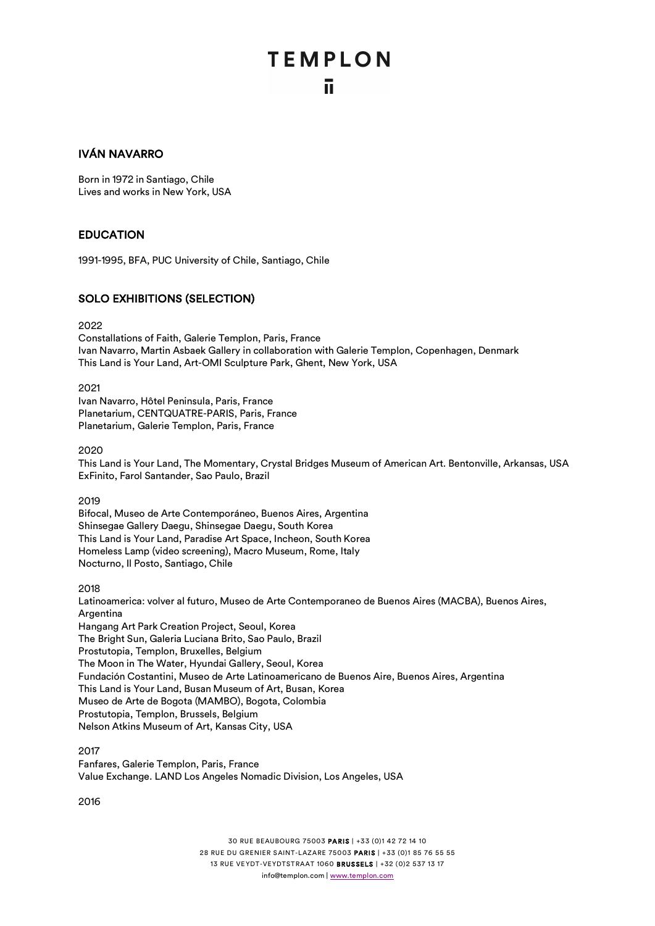#### IVÁN NAVARRO

Born in 1972 in Santiago, Chile Lives and works in New York, USA

#### **EDUCATION**

1991-1995, BFA, PUC University of Chile, Santiago, Chile

#### SOLO EXHIBITIONS (SELECTION)

2022

Constallations of Faith, Galerie Templon, Paris, France Ivan Navarro, Martin Asbaek Gallery in collaboration with Galerie Templon, Copenhagen, Denmark This Land is Your Land, Art-OMI Sculpture Park, Ghent, New York, USA

2021

Ivan Navarro, Hôtel Peninsula, Paris, France Planetarium, CENTQUATRE-PARIS, Paris, France Planetarium, Galerie Templon, Paris, France

2020

This Land is Your Land, The Momentary, Crystal Bridges Museum of American Art. Bentonville, Arkansas, USA ExFinito, Farol Santander, Sao Paulo, Brazil

2019

Bifocal, Museo de Arte Contemporáneo, Buenos Aires, Argentina Shinsegae Gallery Daegu, Shinsegae Daegu, South Korea This Land is Your Land, Paradise Art Space, Incheon, South Korea Homeless Lamp (video screening), Macro Museum, Rome, Italy Nocturno, Il Posto, Santiago, Chile

2018

Latinoamerica: volver al futuro, Museo de Arte Contemporaneo de Buenos Aires (MACBA), Buenos Aires, **Argentina** Hangang Art Park Creation Project, Seoul, Korea The Bright Sun, Galeria Luciana Brito, Sao Paulo, Brazil Prostutopia, Templon, Bruxelles, Belgium The Moon in The Water, Hyundai Gallery, Seoul, Korea Fundación Costantini, Museo de Arte Latinoamericano de Buenos Aire, Buenos Aires, Argentina This Land is Your Land, Busan Museum of Art, Busan, Korea Museo de Arte de Bogota (MAMBO), Bogota, Colombia Prostutopia, Templon, Brussels, Belgium Nelson Atkins Museum of Art, Kansas City, USA

2017 Fanfares, Galerie Templon, Paris, France Value Exchange. LAND Los Angeles Nomadic Division, Los Angeles, USA

2016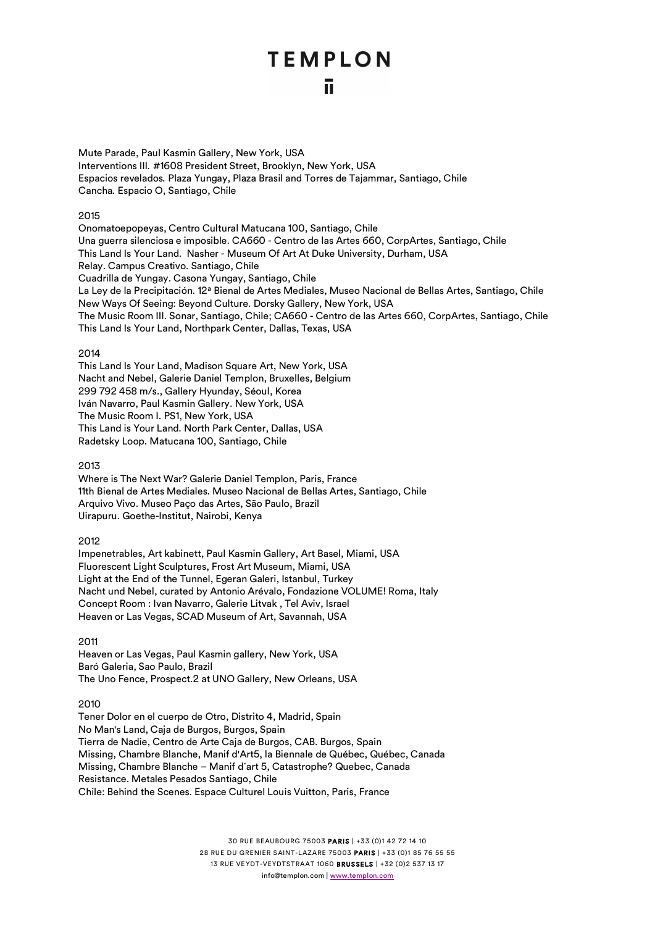Mute Parade, Paul Kasmin Gallery, New York, USA Interventions III*.* #1608 President Street, Brooklyn, New York, USA Espacios revelados*.* Plaza Yungay, Plaza Brasil and Torres de Tajammar, Santiago, Chile Cancha*.* Espacio O, Santiago, Chile

#### 2015

Onomatoepopeyas, Centro Cultural Matucana 100, Santiago, Chile Una guerra silenciosa e imposible. CA660 - Centro de las Artes 660, CorpArtes, Santiago, Chile This Land Is Your Land. Nasher - Museum Of Art At Duke University, Durham, USA Relay. Campus Creativo. Santiago, Chile Cuadrilla de Yungay. Casona Yungay, Santiago, Chile La Ley de la Precipitación. 12ª Bienal de Artes Mediales, Museo Nacional de Bellas Artes, Santiago, Chile New Ways Of Seeing: Beyond Culture. Dorsky Gallery, New York, USA The Music Room III. Sonar, Santiago, Chile; CA660 - Centro de las Artes 660, CorpArtes, Santiago, Chile This Land Is Your Land, Northpark Center, Dallas, Texas, USA

#### 2014

This Land Is Your Land, Madison Square Art, New York, USA Nacht and Nebel, Galerie Daniel Templon, Bruxelles, Belgium 299 792 458 m/s., Gallery Hyunday, Séoul, Korea Iván Navarro, Paul Kasmin Gallery. New York, USA The Music Room I. PS1, New York, USA This Land is Your Land. North Park Center, Dallas, USA Radetsky Loop. Matucana 100, Santiago, Chile

#### 2013

Where is The Next War? Galerie Daniel Templon, Paris, France 11th Bienal de Artes Mediales. Museo Nacional de Bellas Artes, Santiago, Chile Arquivo Vivo. Museo Paço das Artes, São Paulo, Brazil Uirapuru. Goethe-Institut, Nairobi, Kenya

2012

Impenetrables, Art kabinett, Paul Kasmin Gallery, Art Basel, Miami, USA Fluorescent Light Sculptures, Frost Art Museum, Miami, USA Light at the End of the Tunnel, Egeran Galeri, Istanbul, Turkey Nacht und Nebel, curated by Antonio Arévalo, Fondazione VOLUME! Roma, Italy Concept Room : Ivan Navarro, Galerie Litvak , Tel Aviv, Israel Heaven or Las Vegas, SCAD Museum of Art, Savannah, USA

2011

Heaven or Las Vegas, Paul Kasmin gallery, New York, USA Baró Galeria, Sao Paulo, Brazil The Uno Fence, Prospect.2 at UNO Gallery, New Orleans, USA

#### 2010

Tener Dolor en el cuerpo de Otro, Distrito 4, Madrid, Spain No Man's Land, Caja de Burgos, Burgos, Spain Tierra de Nadie, Centro de Arte Caja de Burgos, CAB. Burgos, Spain Missing, Chambre Blanche, Manif d'Art5, la Biennale de Québec, Québec, Canada Missing, Chambre Blanche – Manif d´art 5, Catastrophe? Quebec, Canada Resistance. Metales Pesados Santiago, Chile Chile: Behind the Scenes. Espace Culturel Louis Vuitton, Paris, France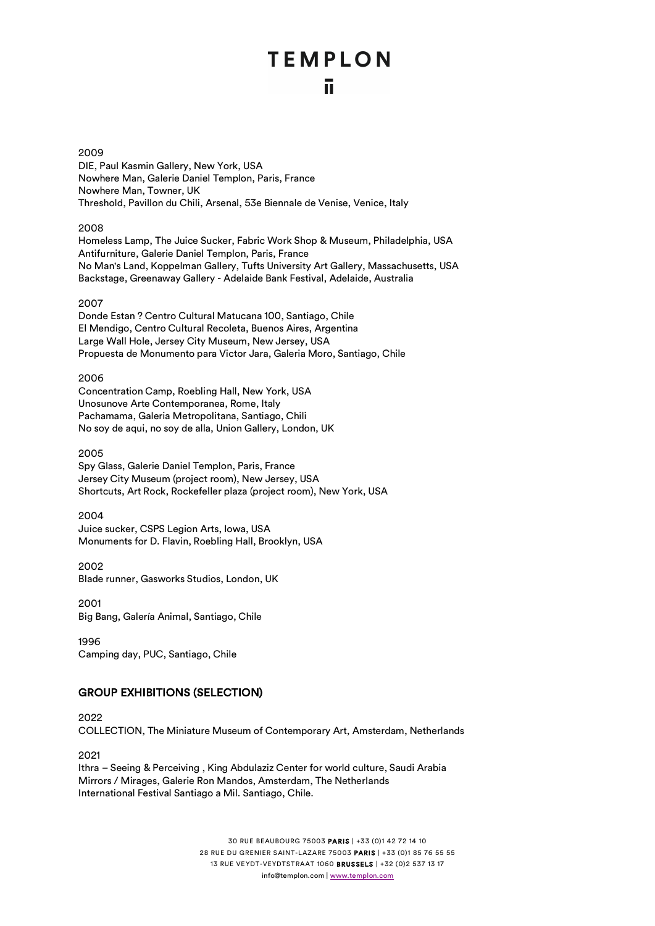#### 2009

DIE, Paul Kasmin Gallery, New York, USA Nowhere Man, Galerie Daniel Templon, Paris, France Nowhere Man, Towner, UK Threshold, Pavillon du Chili, Arsenal, 53e Biennale de Venise, Venice, Italy

#### 2008

Homeless Lamp, The Juice Sucker, Fabric Work Shop & Museum, Philadelphia, USA Antifurniture, Galerie Daniel Templon, Paris, France No Man's Land, Koppelman Gallery, Tufts University Art Gallery, Massachusetts, USA Backstage, Greenaway Gallery - Adelaide Bank Festival, Adelaide, Australia

#### 2007

Donde Estan ? Centro Cultural Matucana 100, Santiago, Chile El Mendigo, Centro Cultural Recoleta, Buenos Aires, Argentina Large Wall Hole, Jersey City Museum, New Jersey, USA Propuesta de Monumento para Victor Jara, Galeria Moro, Santiago, Chile

#### 2006

Concentration Camp, Roebling Hall, New York, USA Unosunove Arte Contemporanea, Rome, Italy Pachamama, Galeria Metropolitana, Santiago, Chili No soy de aqui, no soy de alla, Union Gallery, London, UK

#### 2005

Spy Glass, Galerie Daniel Templon, Paris, France Jersey City Museum (project room), New Jersey, USA Shortcuts, Art Rock, Rockefeller plaza (project room), New York, USA

#### 2004

Juice sucker, CSPS Legion Arts, Iowa, USA Monuments for D. Flavin, Roebling Hall, Brooklyn, USA

2002 Blade runner, Gasworks Studios, London, UK

2001 Big Bang, Galería Animal, Santiago, Chile

1996 Camping day, PUC, Santiago, Chile

#### GROUP EXHIBITIONS (SELECTION)

2022 COLLECTION, The Miniature Museum of Contemporary Art, Amsterdam, Netherlands

2021

Ithra – Seeing & Perceiving , King Abdulaziz Center for world culture, Saudi Arabia Mirrors / Mirages, Galerie Ron Mandos, Amsterdam, The Netherlands International Festival Santiago a Mil. Santiago, Chile.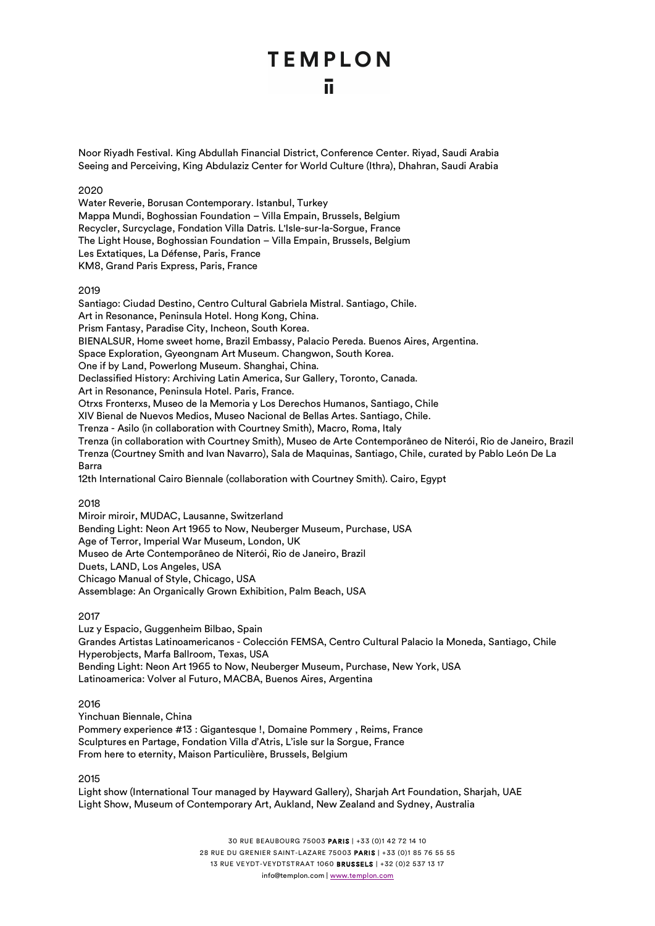Noor Riyadh Festival. King Abdullah Financial District, Conference Center. Riyad, Saudi Arabia Seeing and Perceiving, King Abdulaziz Center for World Culture (Ithra), Dhahran, Saudi Arabia

2020

Water Reverie, Borusan Contemporary. Istanbul, Turkey Mappa Mundi, Boghossian Foundation – Villa Empain, Brussels, Belgium Recycler, Surcyclage, Fondation Villa Datris. L'Isle-sur-la-Sorgue, France The Light House, Boghossian Foundation – Villa Empain, Brussels, Belgium Les Extatiques, La Défense, Paris, France KM8, Grand Paris Express, Paris, France

#### 2019

Santiago: Ciudad Destino, Centro Cultural Gabriela Mistral. Santiago, Chile. Art in Resonance, Peninsula Hotel. Hong Kong, China. Prism Fantasy, Paradise City, Incheon, South Korea. BIENALSUR, Home sweet home, Brazil Embassy, Palacio Pereda. Buenos Aires, Argentina. Space Exploration, Gyeongnam Art Museum. Changwon, South Korea. One if by Land, Powerlong Museum. Shanghai, China. Declassified History: Archiving Latin America, Sur Gallery, Toronto, Canada. Art in Resonance, Peninsula Hotel. Paris, France. Otrxs Fronterxs, Museo de la Memoria y Los Derechos Humanos, Santiago, Chile XIV Bienal de Nuevos Medios, Museo Nacional de Bellas Artes. Santiago, Chile. Trenza - Asilo (in collaboration with Courtney Smith), Macro, Roma, Italy Trenza (in collaboration with Courtney Smith), Museo de Arte Contemporâneo de Niterói, Rio de Janeiro, Brazil Trenza (Courtney Smith and Ivan Navarro), Sala de Maquinas, Santiago, Chile, curated by Pablo León De La Barra 12th International Cairo Biennale (collaboration with Courtney Smith). Cairo, Egypt

#### 2018

Miroir miroir, MUDAC, Lausanne, Switzerland Bending Light: Neon Art 1965 to Now, Neuberger Museum, Purchase, USA Age of Terror, Imperial War Museum, London, UK Museo de Arte Contemporâneo de Niterói, Rio de Janeiro, Brazil Duets, LAND, Los Angeles, USA Chicago Manual of Style, Chicago, USA Assemblage: An Organically Grown Exhibition, Palm Beach, USA

#### 2017

Luz y Espacio, Guggenheim Bilbao, Spain Grandes Artistas Latinoamericanos - Colección FEMSA, Centro Cultural Palacio la Moneda, Santiago, Chile Hyperobjects, Marfa Ballroom, Texas, USA Bending Light: Neon Art 1965 to Now, Neuberger Museum, Purchase, New York, USA Latinoamerica: Volver al Futuro, MACBA, Buenos Aires, Argentina

#### 2016

Yinchuan Biennale, China Pommery experience #13 : Gigantesque !, Domaine Pommery , Reims, France Sculptures en Partage, Fondation Villa d'Atris, L'isle sur la Sorgue, France From here to eternity, Maison Particulière, Brussels, Belgium

#### 2015

Light show (International Tour managed by Hayward Gallery), Sharjah Art Foundation, Sharjah, UAE Light Show, Museum of Contemporary Art, Aukland, New Zealand and Sydney, Australia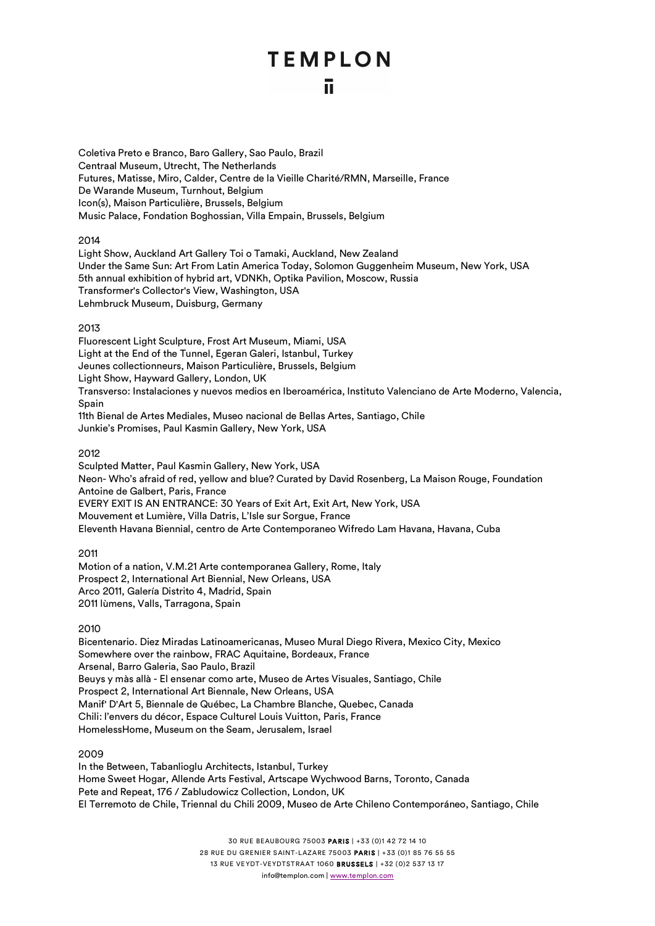Coletiva Preto e Branco, Baro Gallery, Sao Paulo, Brazil Centraal Museum, Utrecht, The Netherlands Futures, Matisse, Miro, Calder, Centre de la Vieille Charité/RMN, Marseille, France De Warande Museum, Turnhout, Belgium Icon(s), Maison Particulière, Brussels, Belgium Music Palace, Fondation Boghossian, Villa Empain, Brussels, Belgium

#### 2014

Light Show, Auckland Art Gallery Toi o Tamaki, Auckland, New Zealand Under the Same Sun: Art From Latin America Today, Solomon Guggenheim Museum, New York, USA 5th annual exhibition of hybrid art, VDNKh, Optika Pavilion, Moscow, Russia Transformer's Collector's View, Washington, USA Lehmbruck Museum, Duisburg, Germany

#### 2013

Fluorescent Light Sculpture, Frost Art Museum, Miami, USA Light at the End of the Tunnel, Egeran Galeri, Istanbul, Turkey Jeunes collectionneurs, Maison Particulière, Brussels, Belgium Light Show, Hayward Gallery, London, UK Transverso: Instalaciones y nuevos medios en Iberoamérica, Instituto Valenciano de Arte Moderno, Valencia, Spain 11th Bienal de Artes Mediales, Museo nacional de Bellas Artes, Santiago, Chile Junkie's Promises, Paul Kasmin Gallery, New York, USA

#### 2012

Sculpted Matter, Paul Kasmin Gallery, New York, USA Neon- Who's afraid of red, yellow and blue? Curated by David Rosenberg, La Maison Rouge, Foundation Antoine de Galbert, Paris, France EVERY EXIT IS AN ENTRANCE: 30 Years of Exit Art, Exit Art, New York, USA Mouvement et Lumière, Villa Datris, L'Isle sur Sorgue, France Eleventh Havana Biennial, centro de Arte Contemporaneo Wifredo Lam Havana, Havana, Cuba

2011

Motion of a nation, V.M.21 Arte contemporanea Gallery, Rome, Italy Prospect 2, International Art Biennial, New Orleans, USA Arco 2011, Galería Distrito 4, Madrid, Spain 2011 lùmens, Valls, Tarragona, Spain

2010

Bicentenario. Diez Miradas Latinoamericanas, Museo Mural Diego Rivera, Mexico City, Mexico Somewhere over the rainbow, FRAC Aquitaine, Bordeaux, France Arsenal, Barro Galeria, Sao Paulo, Brazil Beuys y màs allà - El ensenar como arte, Museo de Artes Visuales, Santiago, Chile Prospect 2, International Art Biennale, New Orleans, USA Manif' D'Art 5, Biennale de Québec, La Chambre Blanche, Quebec, Canada Chili: l'envers du décor, Espace Culturel Louis Vuitton, Paris, France HomelessHome, Museum on the Seam, Jerusalem, Israel

#### 2009

In the Between, Tabanlioglu Architects, Istanbul, Turkey Home Sweet Hogar, Allende Arts Festival, Artscape Wychwood Barns, Toronto, Canada Pete and Repeat, 176 / Zabludowicz Collection, London, UK El Terremoto de Chile, Triennal du Chili 2009, Museo de Arte Chileno Contemporáneo, Santiago, Chile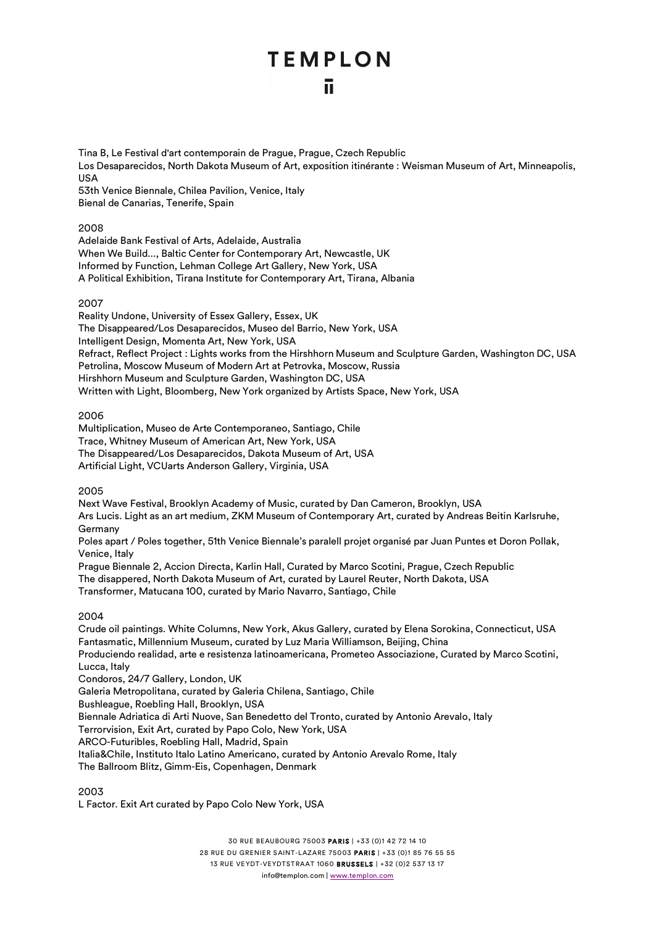Tina B, Le Festival d'art contemporain de Prague, Prague, Czech Republic Los Desaparecidos, North Dakota Museum of Art, exposition itinérante : Weisman Museum of Art, Minneapolis, USA 53th Venice Biennale, Chilea Pavilion, Venice, Italy

Bienal de Canarias, Tenerife, Spain

#### 2008

Adelaide Bank Festival of Arts, Adelaide, Australia When We Build..., Baltic Center for Contemporary Art, Newcastle, UK Informed by Function, Lehman College Art Gallery, New York, USA A Political Exhibition, Tirana Institute for Contemporary Art, Tirana, Albania

#### 2007

Reality Undone, University of Essex Gallery, Essex, UK The Disappeared/Los Desaparecidos, Museo del Barrio, New York, USA Intelligent Design, Momenta Art, New York, USA Refract, Reflect Project : Lights works from the Hirshhorn Museum and Sculpture Garden, Washington DC, USA Petrolina, Moscow Museum of Modern Art at Petrovka, Moscow, Russia Hirshhorn Museum and Sculpture Garden, Washington DC, USA Written with Light, Bloomberg, New York organized by Artists Space, New York, USA

#### 2006

Multiplication, Museo de Arte Contemporaneo, Santiago, Chile Trace, Whitney Museum of American Art, New York, USA The Disappeared/Los Desaparecidos, Dakota Museum of Art, USA Artificial Light, VCUarts Anderson Gallery, Virginia, USA

2005

Next Wave Festival, Brooklyn Academy of Music, curated by Dan Cameron, Brooklyn, USA Ars Lucis. Light as an art medium, ZKM Museum of Contemporary Art, curated by Andreas Beitin Karlsruhe, Germany

Poles apart / Poles together, 51th Venice Biennale's paralell projet organisé par Juan Puntes et Doron Pollak, Venice, Italy

Prague Biennale 2, Accion Directa, Karlin Hall, Curated by Marco Scotini, Prague, Czech Republic The disappered, North Dakota Museum of Art, curated by Laurel Reuter, North Dakota, USA Transformer, Matucana 100, curated by Mario Navarro, Santiago, Chile

#### 2004

Crude oil paintings. White Columns, New York, Akus Gallery, curated by Elena Sorokina, Connecticut, USA Fantasmatic, Millennium Museum, curated by Luz Maria Williamson, Beijing, China Produciendo realidad, arte e resistenza latinoamericana, Prometeo Associazione, Curated by Marco Scotini, Lucca, Italy Condoros, 24/7 Gallery, London, UK Galeria Metropolitana, curated by Galeria Chilena, Santiago, Chile Bushleague, Roebling Hall, Brooklyn, USA Biennale Adriatica di Arti Nuove, San Benedetto del Tronto, curated by Antonio Arevalo, Italy

Terrorvision, Exit Art, curated by Papo Colo, New York, USA

ARCO-Futuribles, Roebling Hall, Madrid, Spain

Italia&Chile, Instituto Italo Latino Americano, curated by Antonio Arevalo Rome, Italy The Ballroom Blitz, Gimm-Eis, Copenhagen, Denmark

2003

L Factor. Exit Art curated by Papo Colo New York, USA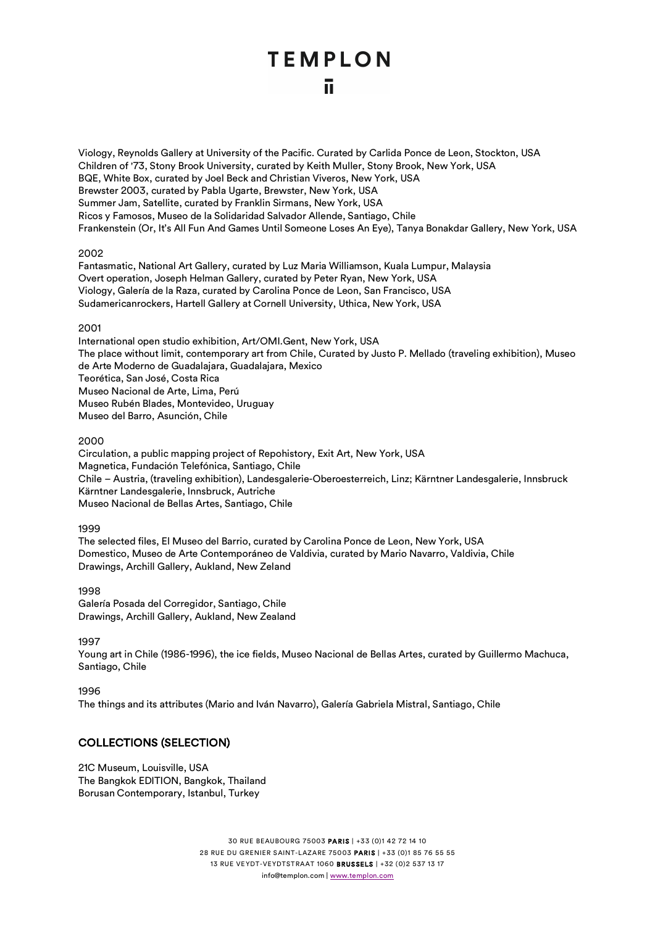Viology, Reynolds Gallery at University of the Pacific. Curated by Carlida Ponce de Leon, Stockton, USA Children of '73, Stony Brook University, curated by Keith Muller, Stony Brook, New York, USA BQE, White Box, curated by Joel Beck and Christian Viveros, New York, USA Brewster 2003, curated by Pabla Ugarte, Brewster, New York, USA Summer Jam, Satellite, curated by Franklin Sirmans, New York, USA Ricos y Famosos, Museo de la Solidaridad Salvador Allende, Santiago, Chile Frankenstein (Or, It's All Fun And Games Until Someone Loses An Eye), Tanya Bonakdar Gallery, New York, USA

#### 2002

Fantasmatic, National Art Gallery, curated by Luz Maria Williamson, Kuala Lumpur, Malaysia Overt operation, Joseph Helman Gallery, curated by Peter Ryan, New York, USA Viology, Galería de la Raza, curated by Carolina Ponce de Leon, San Francisco, USA Sudamericanrockers, Hartell Gallery at Cornell University, Uthica, New York, USA

#### 2001

International open studio exhibition, Art/OMI.Gent, New York, USA The place without limit, contemporary art from Chile, Curated by Justo P. Mellado (traveling exhibition), Museo de Arte Moderno de Guadalajara, Guadalajara, Mexico Teorética, San José, Costa Rica Museo Nacional de Arte, Lima, Perú Museo Rubén Blades, Montevideo, Uruguay Museo del Barro, Asunción, Chile

#### 2000

Circulation, a public mapping project of Repohistory, Exit Art, New York, USA Magnetica, Fundación Telefónica, Santiago, Chile Chile – Austria, (traveling exhibition), Landesgalerie-Oberoesterreich, Linz; Kärntner Landesgalerie, Innsbruck Kärntner Landesgalerie, Innsbruck, Autriche Museo Nacional de Bellas Artes, Santiago, Chile

#### 1999

The selected files, El Museo del Barrio, curated by Carolina Ponce de Leon, New York, USA Domestico, Museo de Arte Contemporáneo de Valdivia, curated by Mario Navarro, Valdivia, Chile Drawings, Archill Gallery, Aukland, New Zeland

1998 Galería Posada del Corregidor, Santiago, Chile Drawings, Archill Gallery, Aukland, New Zealand

#### 1997

Young art in Chile (1986-1996), the ice fields, Museo Nacional de Bellas Artes, curated by Guillermo Machuca, Santiago, Chile

#### 1996

The things and its attributes (Mario and Iván Navarro), Galería Gabriela Mistral, Santiago, Chile

#### COLLECTIONS (SELECTION)

21C Museum, Louisville, USA The Bangkok EDITION, Bangkok, Thailand Borusan Contemporary, Istanbul, Turkey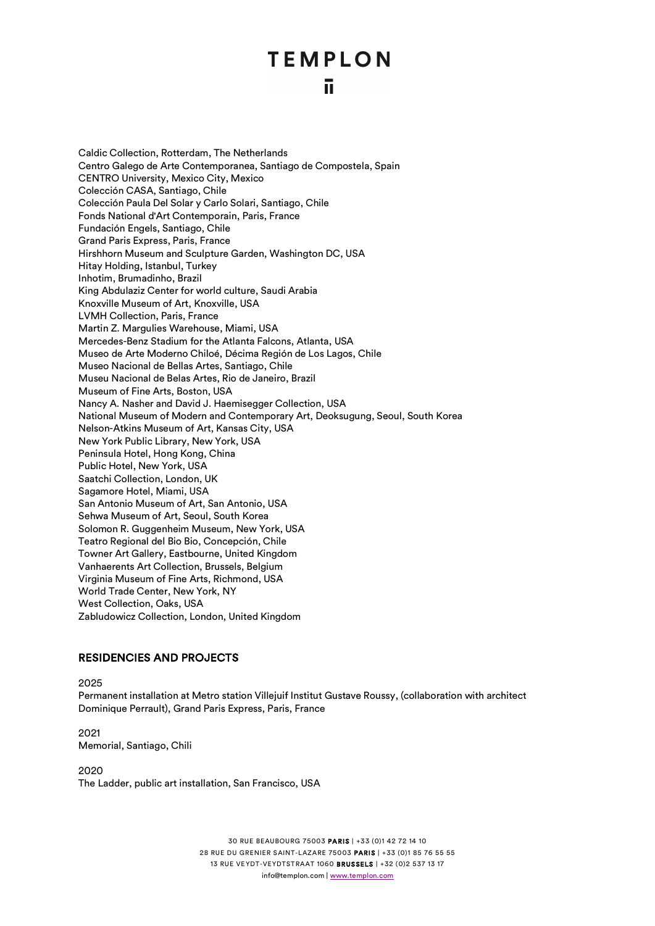Caldic Collection, Rotterdam, The Netherlands Centro Galego de Arte Contemporanea, Santiago de Compostela, Spain CENTRO University, Mexico City, Mexico Colección CASA, Santiago, Chile Colección Paula Del Solar y Carlo Solari, Santiago, Chile Fonds National d'Art Contemporain, Paris, France Fundación Engels, Santiago, Chile Grand Paris Express, Paris, France Hirshhorn Museum and Sculpture Garden, Washington DC, USA Hitay Holding, Istanbul, Turkey Inhotim, Brumadinho, Brazil King Abdulaziz Center for world culture, Saudi Arabia Knoxville Museum of Art, Knoxville, USA LVMH Collection, Paris, France Martin Z. Margulies Warehouse, Miami, USA Mercedes-Benz Stadium for the Atlanta Falcons, Atlanta, USA Museo de Arte Moderno Chiloé, Décima Región de Los Lagos, Chile Museo Nacional de Bellas Artes, Santiago, Chile Museu Nacional de Belas Artes, Rio de Janeiro, Brazil Museum of Fine Arts, Boston, USA Nancy A. Nasher and David J. Haemisegger Collection, USA National Museum of Modern and Contemporary Art, Deoksugung, Seoul, South Korea Nelson-Atkins Museum of Art, Kansas City, USA New York Public Library, New York, USA Peninsula Hotel, Hong Kong, China Public Hotel, New York, USA Saatchi Collection, London, UK Sagamore Hotel, Miami, USA San Antonio Museum of Art, San Antonio, USA Sehwa Museum of Art, Seoul, South Korea Solomon R. Guggenheim Museum, New York, USA Teatro Regional del Bio Bio, Concepción, Chile Towner Art Gallery, Eastbourne, United Kingdom Vanhaerents Art Collection, Brussels, Belgium Virginia Museum of Fine Arts, Richmond, USA World Trade Center, New York, NY West Collection, Oaks, USA Zabludowicz Collection, London, United Kingdom

#### RESIDENCIES AND PROJECTS

2025

Permanent installation at Metro station Villejuif Institut Gustave Roussy, (collaboration with architect Dominique Perrault), Grand Paris Express, Paris, France

2021 Memorial, Santiago, Chili

2020

The Ladder, public art installation, San Francisco, USA